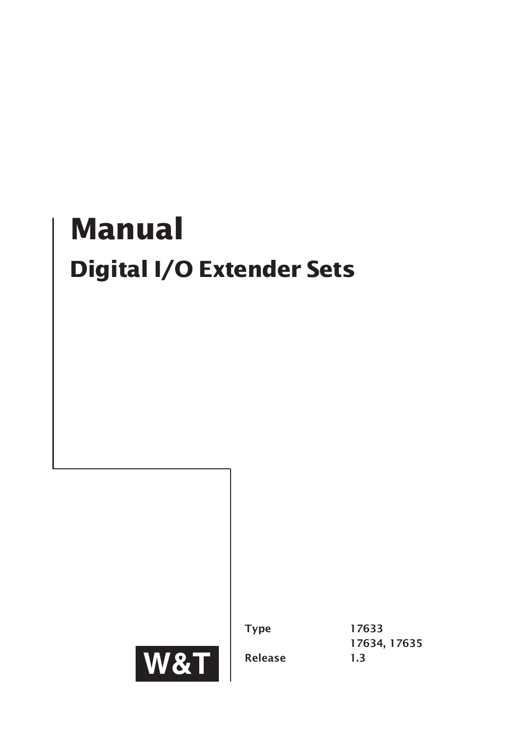# **Manual Digital I/O Extender Sets**



Type 17633 17634, 17635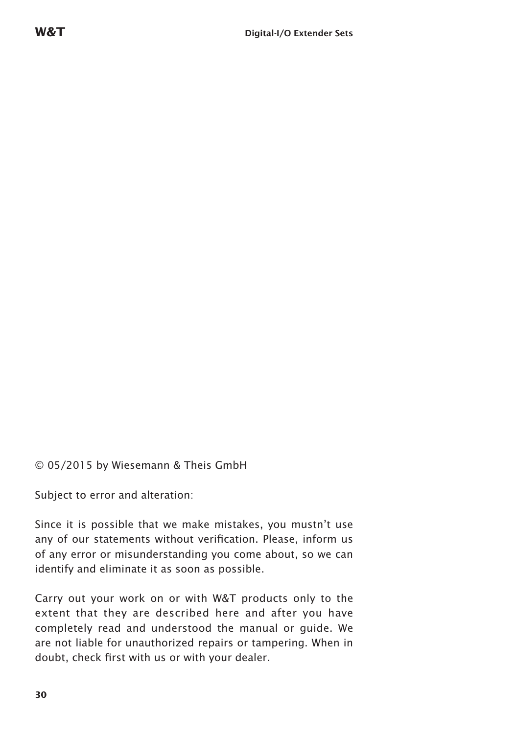© 05/2015 by Wiesemann & Theis GmbH

Subject to error and alteration:

Since it is possible that we make mistakes, you mustn't use any of our statements without verification. Please, inform us of any error or misunderstanding you come about, so we can identify and eliminate it as soon as possible.

Carry out your work on or with W&T products only to the extent that they are described here and after you have completely read and understood the manual or guide. We are not liable for unauthorized repairs or tampering. When in doubt, check first with us or with your dealer.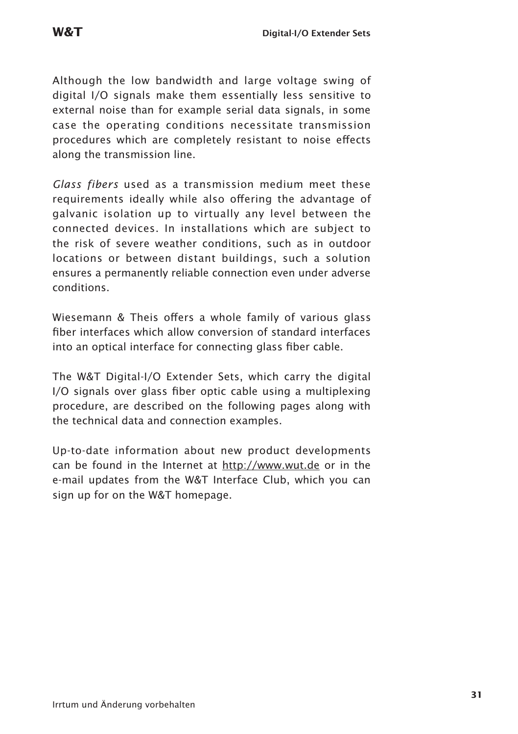Although the low bandwidth and large voltage swing of digital I/O signals make them essentially less sensitive to external noise than for example serial data signals, in some case the operating conditions necessitate transmission procedures which are completely resistant to noise effects along the transmission line.

*Glass fibers* used as a transmission medium meet these requirements ideally while also offering the advantage of galvanic isolation up to virtually any level between the connected devices. In installations which are subject to the risk of severe weather conditions, such as in outdoor locations or between distant buildings, such a solution ensures a permanently reliable connection even under adverse conditions.

Wiesemann & Theis offers a whole family of various glass fiber interfaces which allow conversion of standard interfaces into an optical interface for connecting glass fiber cable.

The W&T Digital-I/O Extender Sets, which carry the digital I/O signals over glass fiber optic cable using a multiplexing procedure, are described on the following pages along with the technical data and connection examples.

Up-to-date information about new product developments can be found in the Internet at http://www.wut.de or in the e-mail updates from the W&T Interface Club, which you can sign up for on the W&T homepage.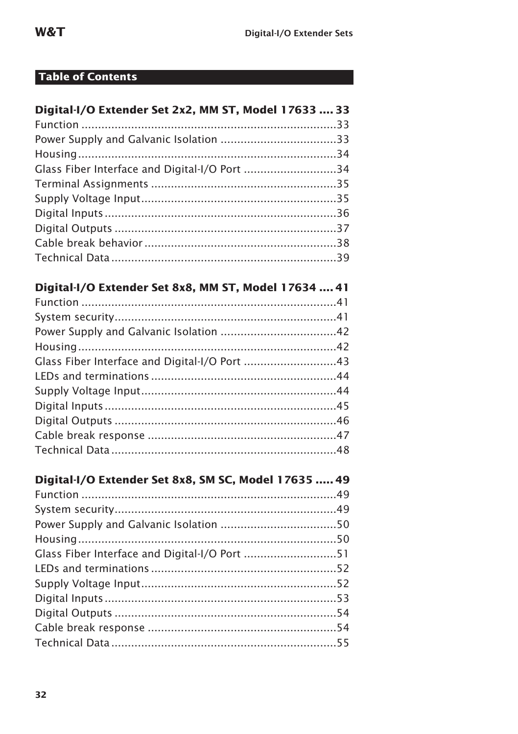### **Table of Contents**

| Digital-I/O Extender Set 2x2, MM ST, Model 17633  33 |  |
|------------------------------------------------------|--|
|                                                      |  |
|                                                      |  |
|                                                      |  |
| Glass Fiber Interface and Digital-I/O Port 34        |  |
|                                                      |  |
|                                                      |  |
|                                                      |  |
|                                                      |  |
|                                                      |  |
|                                                      |  |

### Digital-I/O Extender Set 8x8, MM ST, Model 17634 .... 41

| Glass Fiber Interface and Digital-I/O Port 43 |  |
|-----------------------------------------------|--|
|                                               |  |
|                                               |  |
|                                               |  |
|                                               |  |
|                                               |  |
|                                               |  |
|                                               |  |

### Digital-I/O Extender Set 8x8, SM SC, Model 17635 ..... 49

| Glass Fiber Interface and Digital-I/O Port 51 |  |
|-----------------------------------------------|--|
|                                               |  |
|                                               |  |
|                                               |  |
|                                               |  |
|                                               |  |
|                                               |  |
|                                               |  |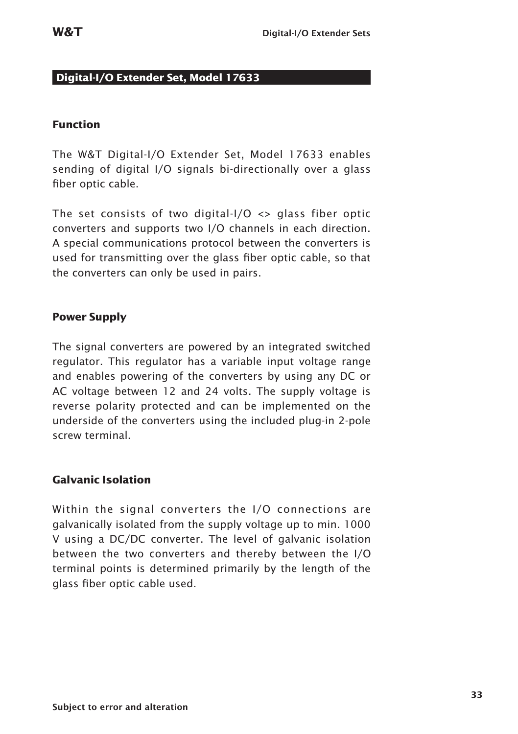#### **Digital-I/O Extender Set, Model 17633**

#### **Function**

The W&T Digital-I/O Extender Set, Model 17633 enables sending of digital I/O signals bi-directionally over a glass fiber optic cable.

The set consists of two digital- $1/0 \leq$  glass fiber optic converters and supports two I/O channels in each direction. A special communications protocol between the converters is used for transmitting over the glass fiber optic cable, so that the converters can only be used in pairs.

#### **Power Supply**

The signal converters are powered by an integrated switched regulator. This regulator has a variable input voltage range and enables powering of the converters by using any DC or AC voltage between 12 and 24 volts. The supply voltage is reverse polarity protected and can be implemented on the underside of the converters using the included plug-in 2-pole screw terminal.

#### **Galvanic Isolation**

Within the signal converters the I/O connections are galvanically isolated from the supply voltage up to min. 1000 V using a DC/DC converter. The level of galvanic isolation between the two converters and thereby between the I/O terminal points is determined primarily by the length of the glass fiber optic cable used.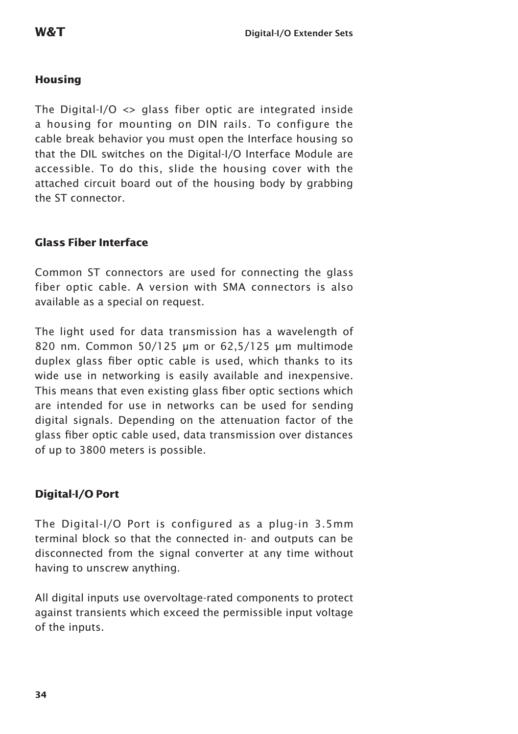#### **Housing**

The Digital-I/O  $\langle$  glass fiber optic are integrated inside a housing for mounting on DIN rails. To configure the cable break behavior you must open the Interface housing so that the DIL switches on the Digital-I/O Interface Module are accessible. To do this, slide the housing cover with the attached circuit board out of the housing body by grabbing the ST connector.

#### **Glass Fiber Interface**

Common ST connectors are used for connecting the glass fiber optic cable. A version with SMA connectors is also available as a special on request.

The light used for data transmission has a wavelength of 820 nm. Common 50/125 µm or 62,5/125 µm multimode duplex glass fiber optic cable is used, which thanks to its wide use in networking is easily available and inexpensive. This means that even existing glass fiber optic sections which are intended for use in networks can be used for sending digital signals. Depending on the attenuation factor of the glass fiber optic cable used, data transmission over distances of up to 3800 meters is possible.

#### **Digital-I/O Port**

The Digital-I/O Port is configured as a plug-in 3.5mm terminal block so that the connected in- and outputs can be disconnected from the signal converter at any time without having to unscrew anything.

All digital inputs use overvoltage-rated components to protect against transients which exceed the permissible input voltage of the inputs.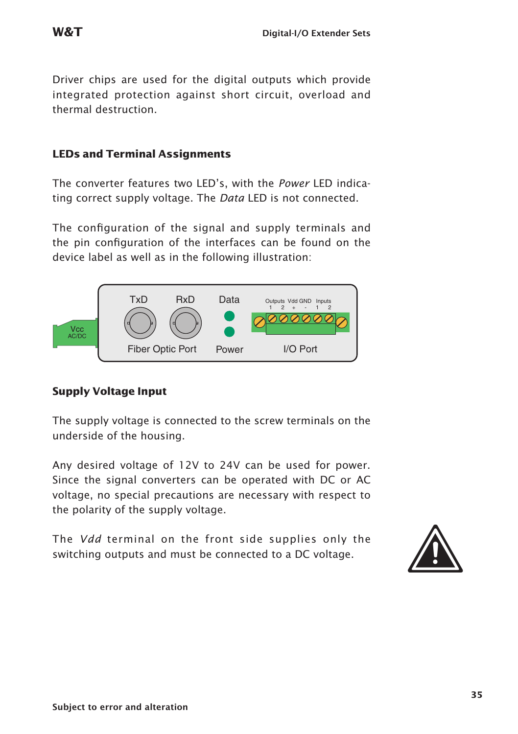Driver chips are used for the digital outputs which provide integrated protection against short circuit, overload and thermal destruction.

#### **LEDs and Terminal Assignments**

The converter features two LED's, with the *Power* LED indicating correct supply voltage. The *Data* LED is not connected.

The configuration of the signal and supply terminals and the pin configuration of the interfaces can be found on the device label as well as in the following illustration:



#### **Supply Voltage Input**

The supply voltage is connected to the screw terminals on the underside of the housing.

Any desired voltage of 12V to 24V can be used for power. Since the signal converters can be operated with DC or AC voltage, no special precautions are necessary with respect to the polarity of the supply voltage.

The *Vdd* terminal on the front side supplies only the The *Vdd* terminal on the front side supplies only the switching outputs and must be connected to a DC voltage.

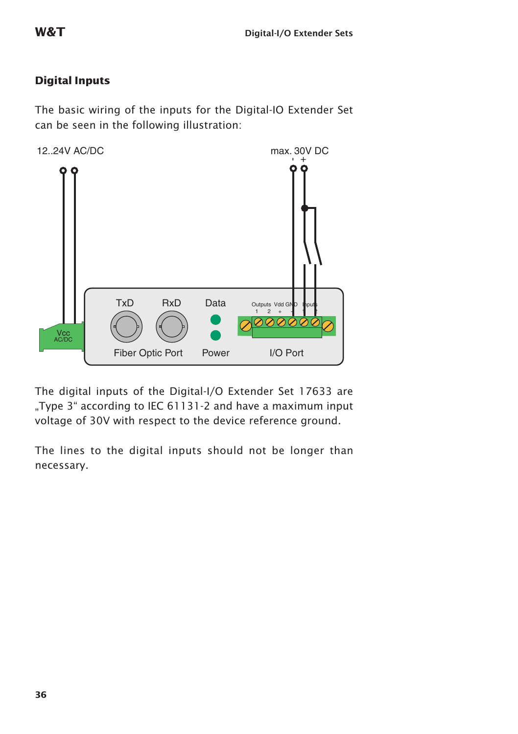#### **Digital Inputs**

The basic wiring of the inputs for the Digital-IO Extender Set can be seen in the following illustration:



The digital inputs of the Digital-I/O Extender Set 17633 are "Type 3" according to IEC 61131-2 and have a maximum input voltage of 30V with respect to the device reference ground.

The lines to the digital inputs should not be longer than necessary.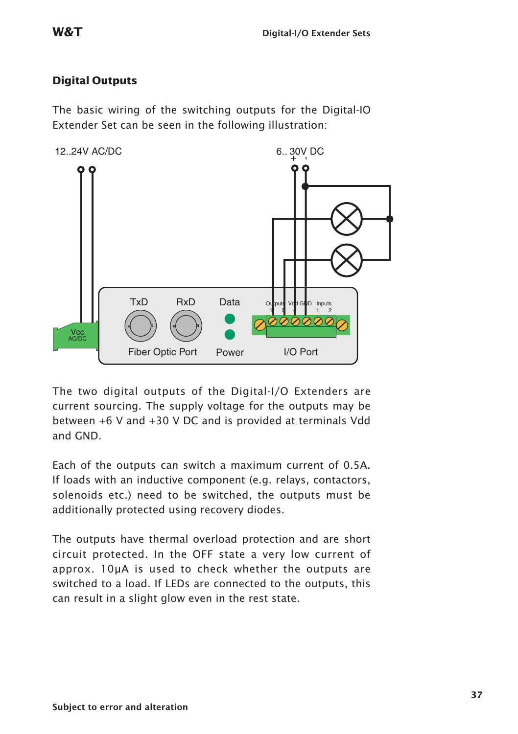#### **Digital Outputs**

The basic wiring of the switching outputs for the Digital-IO Extender Set can be seen in the following illustration:



The two digital outputs of the Digital-I/O Extenders are current sourcing. The supply voltage for the outputs may be between +6 V and +30 V DC and is provided at terminals Vdd and GND.

Each of the outputs can switch a maximum current of 0.5A. If loads with an inductive component (e.g. relays, contactors, solenoids etc.) need to be switched, the outputs must be additionally protected using recovery diodes.

The outputs have thermal overload protection and are short circuit protected. In the OFF state a very low current of approx. 10µA is used to check whether the outputs are switched to a load. If LEDs are connected to the outputs, this can result in a slight glow even in the rest state.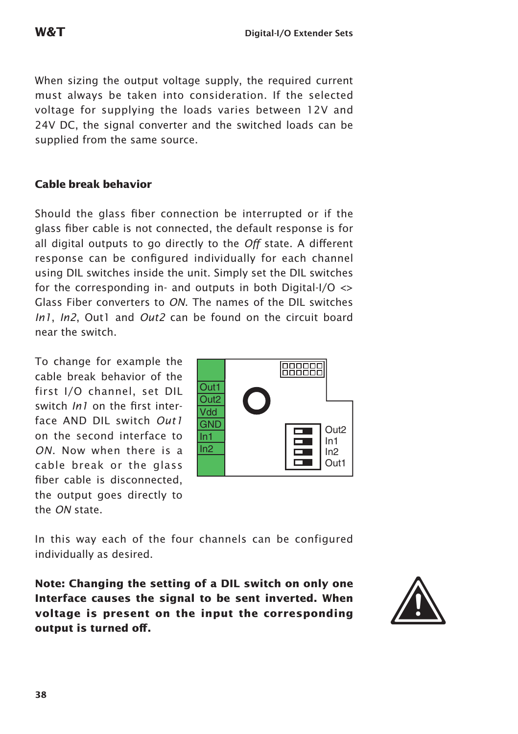When sizing the output voltage supply, the required current must always be taken into consideration. If the selected voltage for supplying the loads varies between 12V and 24V DC, the signal converter and the switched loads can be supplied from the same source.

#### **Cable break behavior**

Should the glass fiber connection be interrupted or if the glass fiber cable is not connected, the default response is for all digital outputs to go directly to the *Off* state. A different response can be configured individually for each channel using DIL switches inside the unit. Simply set the DIL switches for the corresponding in- and outputs in both Digital-I/O  $\leftrightarrow$ Glass Fiber converters to *ON*. The names of the DIL switches *In1*, *In2*, Out1 and *Out2* can be found on the circuit board near the switch.

To change for example the cable break behavior of the first I/O channel, set DIL switch *In1* on the first interface AND DIL switch *Out1* on the second interface to *ON*. Now when there is a cable break or the glass fiber cable is disconnected, the output goes directly to the *ON* state.



In this way each of the four channels can be configured individually as desired.

**Note: Changing the setting of a DIL switch on only one Interface causes the signal to be sent inverted. When voltage is present on the input the corresponding**  Note: Changing the setting of a DIL switch on only one<br>Interface causes the signal to be sent inverted. When<br>voltage is present on the input the corresponding<br>output is turned off.

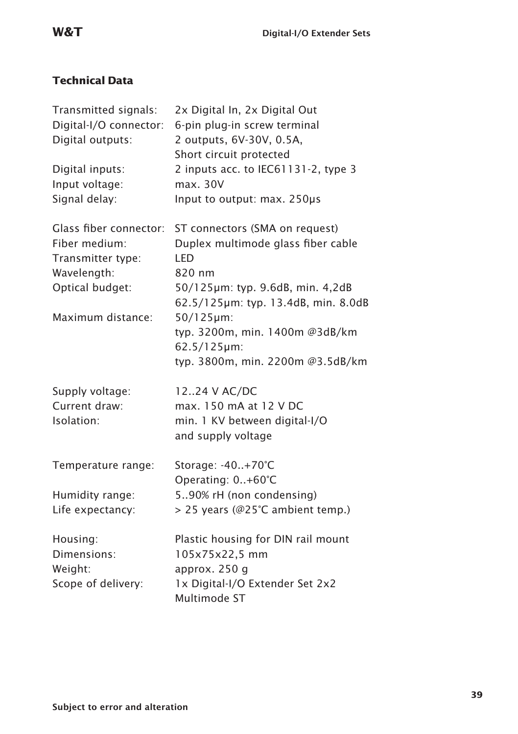### **Technical Data**

| Transmitted signals:<br>Digital-I/O connector:<br>Digital outputs:<br>Digital inputs:<br>Input voltage:<br>Signal delay: | 2x Digital In, 2x Digital Out<br>6-pin plug-in screw terminal<br>2 outputs, 6V-30V, 0.5A,<br>Short circuit protected<br>2 inputs acc. to IEC61131-2, type 3<br>max. 30V<br>Input to output: max. 250µs                                                                           |
|--------------------------------------------------------------------------------------------------------------------------|----------------------------------------------------------------------------------------------------------------------------------------------------------------------------------------------------------------------------------------------------------------------------------|
| Glass fiber connector:<br>Fiber medium:<br>Transmitter type:<br>Wavelength:<br>Optical budget:<br>Maximum distance:      | ST connectors (SMA on request)<br>Duplex multimode glass fiber cable<br><b>LED</b><br>820 nm<br>50/125µm: typ. 9.6dB, min. 4,2dB<br>62.5/125µm: typ. 13.4dB, min. 8.0dB<br>50/125µm:<br>typ. 3200m, min. 1400m @3dB/km<br>$62.5/125 \mu m$ :<br>typ. 3800m, min. 2200m @3.5dB/km |
| Supply voltage:<br>Current draw:<br>Isolation:                                                                           | 1224 V AC/DC<br>max. 150 mA at 12 V DC<br>min. 1 KV between digital-I/O<br>and supply voltage                                                                                                                                                                                    |
| Temperature range:<br>Humidity range:<br>Life expectancy:                                                                | Storage: -40+70°C<br>Operating: 0+60°C<br>590% rH (non condensing)<br>> 25 years (@25°C ambient temp.)                                                                                                                                                                           |
| Housing:<br>Dimensions:<br>Weight:<br>Scope of delivery:                                                                 | Plastic housing for DIN rail mount<br>105x75x22,5 mm<br>approx. 250 g<br>1x Digital-I/O Extender Set 2x2<br>Multimode ST                                                                                                                                                         |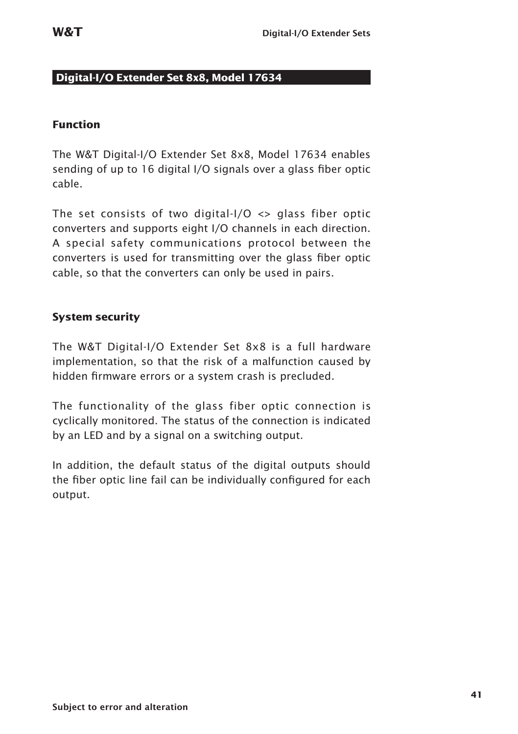#### **Digital-I/O Extender Set 8x8, Model 17634**

#### **Function**

The W&T Digital-I/O Extender Set 8x8, Model 17634 enables sending of up to 16 digital I/O signals over a glass fiber optic cable.

The set consists of two digital- $1/0 \leq$  glass fiber optic converters and supports eight I/O channels in each direction. A special safety communications protocol between the converters is used for transmitting over the glass fiber optic cable, so that the converters can only be used in pairs.

#### **System security**

The W&T Digital-I/O Extender Set 8x8 is a full hardware implementation, so that the risk of a malfunction caused by hidden firmware errors or a system crash is precluded.

The functionality of the glass fiber optic connection is cyclically monitored. The status of the connection is indicated by an LED and by a signal on a switching output.

In addition, the default status of the digital outputs should the fiber optic line fail can be individually configured for each output.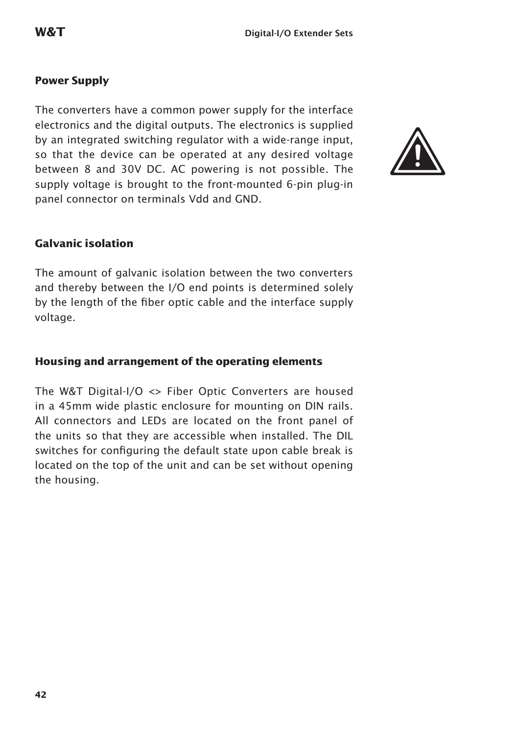#### **Power Supply**

The converters have a common power supply for the interface electronics and the digital outputs. The electronics is supplied by an integrated switching regulator with a wide-range input, so that the device can be operated at any desired voltage between 8 and 30V DC. AC powering is not possible. The supply voltage is brought to the front-mounted 6-pin plug-in panel connector on terminals Vdd and GND.



#### **Galvanic isolation**

The amount of galvanic isolation between the two converters and thereby between the I/O end points is determined solely by the length of the fiber optic cable and the interface supply voltage.

#### **Housing and arrangement of the operating elements**

The W&T Digital-I/O <> Fiber Optic Converters are housed in a 45mm wide plastic enclosure for mounting on DIN rails. All connectors and LEDs are located on the front panel of the units so that they are accessible when installed. The DIL switches for configuring the default state upon cable break is located on the top of the unit and can be set without opening the housing.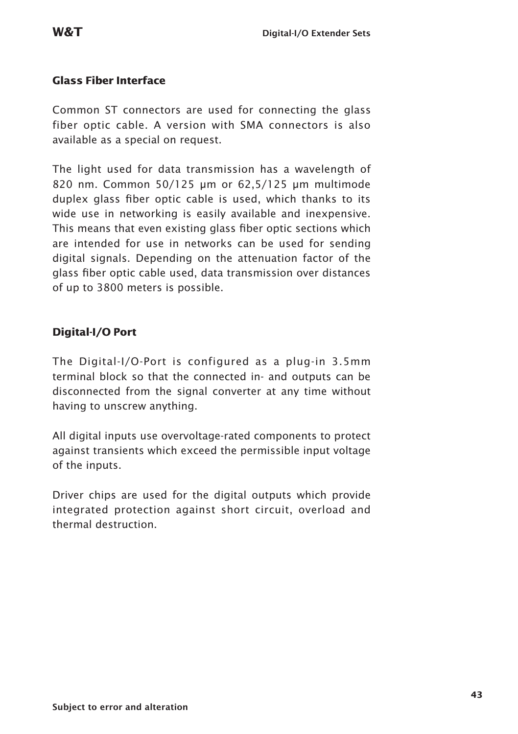#### **Glass Fiber Interface**

Common ST connectors are used for connecting the glass fiber optic cable. A version with SMA connectors is also available as a special on request.

The light used for data transmission has a wavelength of 820 nm. Common 50/125 µm or 62,5/125 µm multimode duplex glass fiber optic cable is used, which thanks to its wide use in networking is easily available and inexpensive. This means that even existing glass fiber optic sections which are intended for use in networks can be used for sending digital signals. Depending on the attenuation factor of the glass fiber optic cable used, data transmission over distances of up to 3800 meters is possible.

#### **Digital-I/O Port**

The Digital-I/O-Port is configured as a plug-in 3.5mm terminal block so that the connected in- and outputs can be disconnected from the signal converter at any time without having to unscrew anything.

All digital inputs use overvoltage-rated components to protect against transients which exceed the permissible input voltage of the inputs.

Driver chips are used for the digital outputs which provide integrated protection against short circuit, overload and thermal destruction.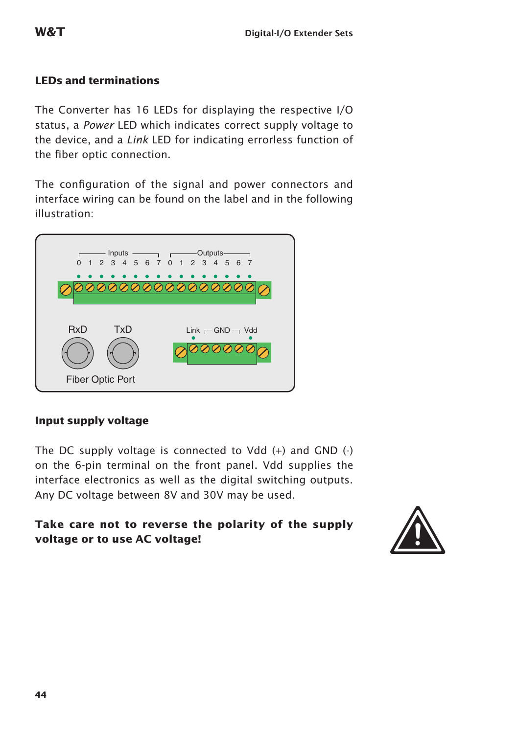#### **LEDs and terminations**

The Converter has 16 LEDs for displaying the respective I/O status, a *Power* LED which indicates correct supply voltage to the device, and a *Link* LED for indicating errorless function of the fiber optic connection.

The configuration of the signal and power connectors and interface wiring can be found on the label and in the following illustration:



#### **Input supply voltage**

The DC supply voltage is connected to Vdd (+) and GND (-) on the 6-pin terminal on the front panel. Vdd supplies the interface electronics as well as the digital switching outputs. Any DC voltage between 8V and 30V may be used.

## **Take care not to reverse the polarity of the supply**  Take care not to reverse the polarity of the supply<br>voltage or to use AC voltage!

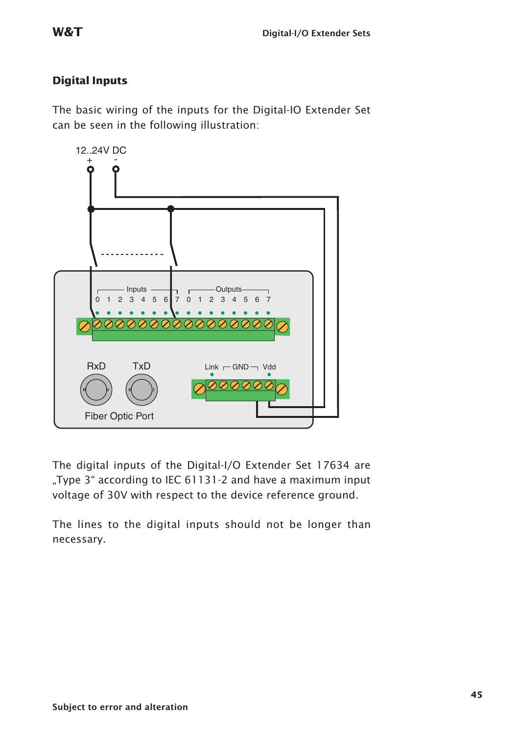#### **Digital Inputs**

The basic wiring of the inputs for the Digital-IO Extender Set can be seen in the following illustration:



The digital inputs of the Digital-I/O Extender Set 17634 are ..Type 3" according to IEC 61131-2 and have a maximum input voltage of 30V with respect to the device reference ground.

The lines to the digital inputs should not be longer than necessary.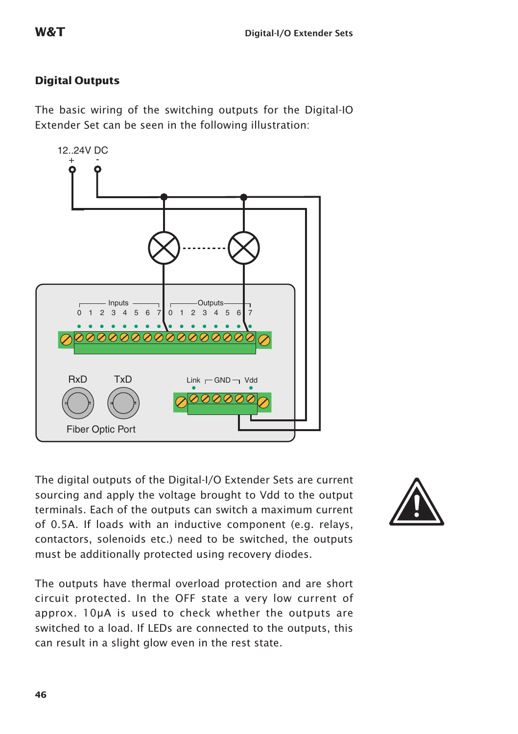#### **Digital Outputs**

The basic wiring of the switching outputs for the Digital-IO Extender Set can be seen in the following illustration:

The digital outputs of the Digital-I/O Extender Sets are current sourcing and apply the voltage brought to Vdd to the output terminals. Each of the outputs can switch a maximum current of 0.5A. If loads with an inductive component (e.g. relays, contactors, solenoids etc.) need to be switched, the outputs must be additionally protected using recovery diodes.

The outputs have thermal overload protection and are short circuit protected. In the OFF state a very low current of approx. 10µA is used to check whether the outputs are switched to a load. If LEDs are connected to the outputs, this can result in a slight glow even in the rest state.



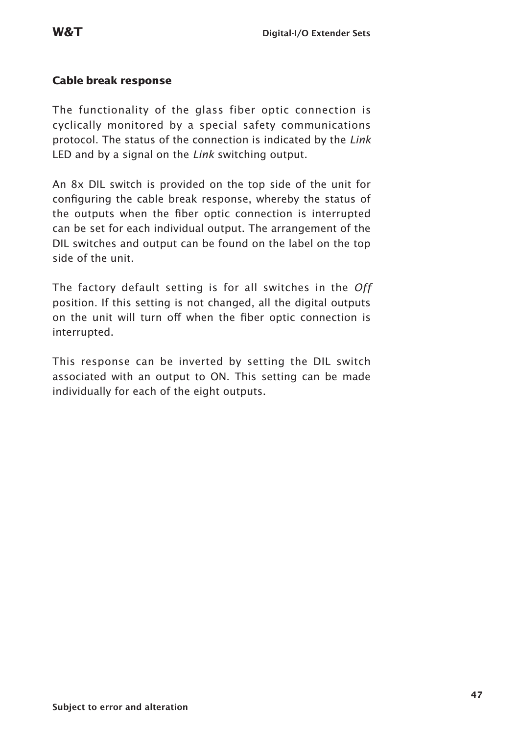#### **Cable break response**

The functionality of the glass fiber optic connection is cyclically monitored by a special safety communications protocol. The status of the connection is indicated by the *Link* LED and by a signal on the *Link* switching output.

An 8x DIL switch is provided on the top side of the unit for configuring the cable break response, whereby the status of the outputs when the fiber optic connection is interrupted can be set for each individual output. The arrangement of the DIL switches and output can be found on the label on the top side of the unit.

The factory default setting is for all switches in the *Off*  position. If this setting is not changed, all the digital outputs on the unit will turn off when the fiber optic connection is interrupted.

This response can be inverted by setting the DIL switch associated with an output to ON. This setting can be made individually for each of the eight outputs.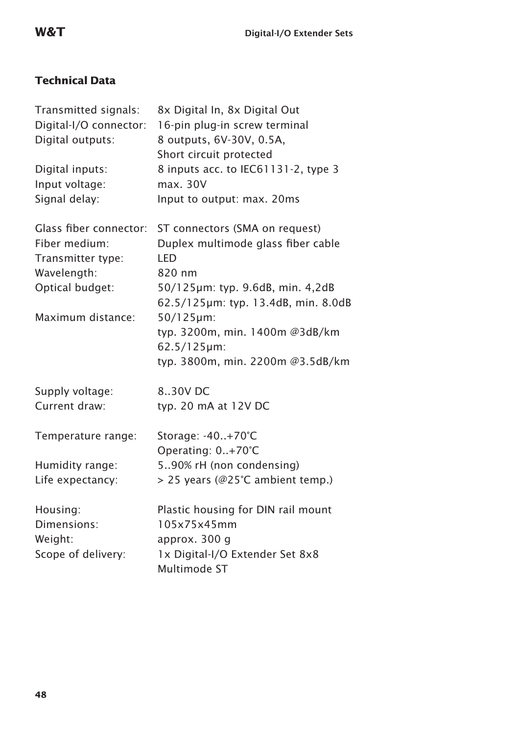## **Technical Data**

| Transmitted signals:<br>Digital-I/O connector:<br>Digital outputs:<br>Digital inputs:<br>Input voltage:<br>Signal delay: | 8x Digital In, 8x Digital Out<br>16-pin plug-in screw terminal<br>8 outputs, 6V-30V, 0.5A,<br>Short circuit protected<br>8 inputs acc. to IEC61131-2, type 3<br>max. 30V<br>Input to output: max. 20ms |
|--------------------------------------------------------------------------------------------------------------------------|--------------------------------------------------------------------------------------------------------------------------------------------------------------------------------------------------------|
| Glass fiber connector:<br>Fiber medium:<br>Transmitter type:                                                             | ST connectors (SMA on request)<br>Duplex multimode glass fiber cable<br>LED                                                                                                                            |
| Wavelength:<br>Optical budget:                                                                                           | 820 nm<br>50/125µm: typ. 9.6dB, min. 4,2dB<br>62.5/125µm: typ. 13.4dB, min. 8.0dB                                                                                                                      |
| Maximum distance:                                                                                                        | $50/125 \mu m$ :<br>typ. 3200m, min. 1400m @3dB/km<br>$62.5/125 \mu m$ :<br>typ. 3800m, min. 2200m @3.5dB/km                                                                                           |
| Supply voltage:<br>Current draw:                                                                                         | 8.30V DC<br>typ. 20 mA at 12V DC                                                                                                                                                                       |
| Temperature range:<br>Humidity range:<br>Life expectancy:                                                                | Storage: -40+70°C<br>Operating: 0+70°C<br>590% rH (non condensing)<br>> 25 years (@25°C ambient temp.)                                                                                                 |
| Housing:<br>Dimensions:<br>Weight:<br>Scope of delivery:                                                                 | Plastic housing for DIN rail mount<br>105x75x45mm<br>approx. 300 g<br>1x Digital-I/O Extender Set 8x8<br>Multimode ST                                                                                  |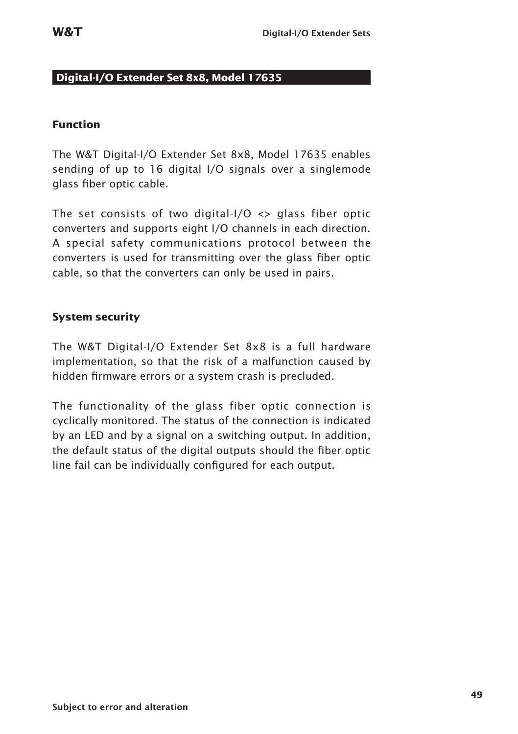#### **Digital-I/O Extender Set 8x8, Model 17635**

#### **Function**

The W&T Digital-I/O Extender Set 8x8, Model 17635 enables sending of up to 16 digital I/O signals over a singlemode glass fiber optic cable.

The set consists of two digital- $1/0 \leq$  glass fiber optic converters and supports eight I/O channels in each direction. A special safety communications protocol between the converters is used for transmitting over the glass fiber optic cable, so that the converters can only be used in pairs.

#### **System security**

The W&T Digital-I/O Extender Set 8x8 is a full hardware implementation, so that the risk of a malfunction caused by hidden firmware errors or a system crash is precluded.

The functionality of the glass fiber optic connection is cyclically monitored. The status of the connection is indicated by an LED and by a signal on a switching output. In addition, the default status of the digital outputs should the fiber optic line fail can be individually configured for each output.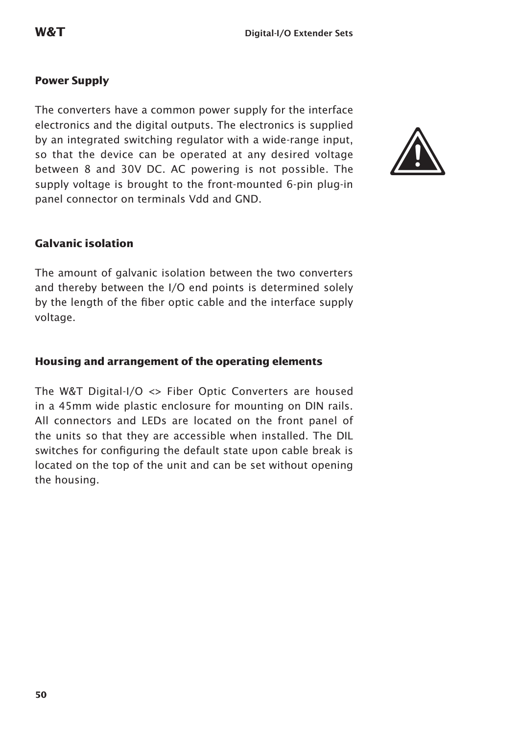#### **Power Supply**

The converters have a common power supply for the interface electronics and the digital outputs. The electronics is supplied by an integrated switching regulator with a wide-range input, so that the device can be operated at any desired voltage between 8 and 30V DC. AC powering is not possible. The supply voltage is brought to the front-mounted 6-pin plug-in panel connector on terminals Vdd and GND.



#### **Galvanic isolation**

The amount of galvanic isolation between the two converters and thereby between the I/O end points is determined solely by the length of the fiber optic cable and the interface supply voltage.

#### **Housing and arrangement of the operating elements**

The W&T Digital-I/O <> Fiber Optic Converters are housed in a 45mm wide plastic enclosure for mounting on DIN rails. All connectors and LEDs are located on the front panel of the units so that they are accessible when installed. The DIL switches for configuring the default state upon cable break is located on the top of the unit and can be set without opening the housing.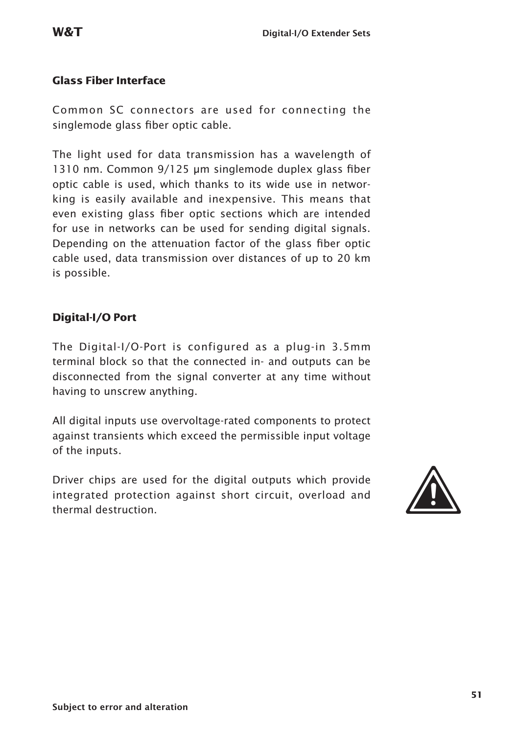#### **Glass Fiber Interface**

Common SC connectors are used for connecting the singlemode glass fiber optic cable.

The light used for data transmission has a wavelength of 1310 nm. Common 9/125 µm singlemode duplex glass fiber optic cable is used, which thanks to its wide use in networking is easily available and inexpensive. This means that even existing glass fiber optic sections which are intended for use in networks can be used for sending digital signals. Depending on the attenuation factor of the glass fiber optic cable used, data transmission over distances of up to 20 km is possible.

#### **Digital-I/O Port**

The Digital-I/O-Port is configured as a plug-in 3.5mm terminal block so that the connected in- and outputs can be disconnected from the signal converter at any time without having to unscrew anything.

All digital inputs use overvoltage-rated components to protect against transients which exceed the permissible input voltage of the inputs.

Driver chips are used for the digital outputs which provide integrated protection against short circuit, overload and Driver chips are used for the digital outputs which provide<br>integrated protection against short circuit, overload and<br>thermal destruction.

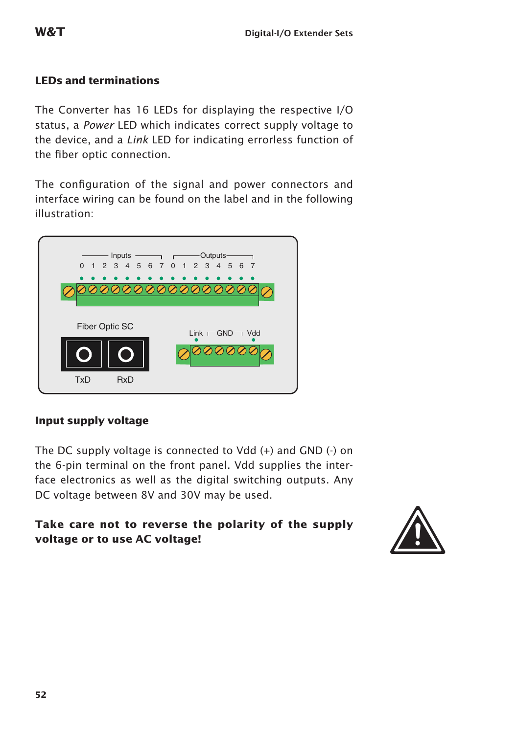#### **LEDs and terminations**

The Converter has 16 LEDs for displaying the respective I/O status, a *Power* LED which indicates correct supply voltage to the device, and a *Link* LED for indicating errorless function of the fiber optic connection.

The configuration of the signal and power connectors and interface wiring can be found on the label and in the following illustration:



#### **Input supply voltage**

The DC supply voltage is connected to Vdd (+) and GND (-) on the 6-pin terminal on the front panel. Vdd supplies the interface electronics as well as the digital switching outputs. Any DC voltage between 8V and 30V may be used.

## **Take care not to reverse the polarity of the supply**  Take care not to reverse the polarity of the supply<br>voltage or to use AC voltage!

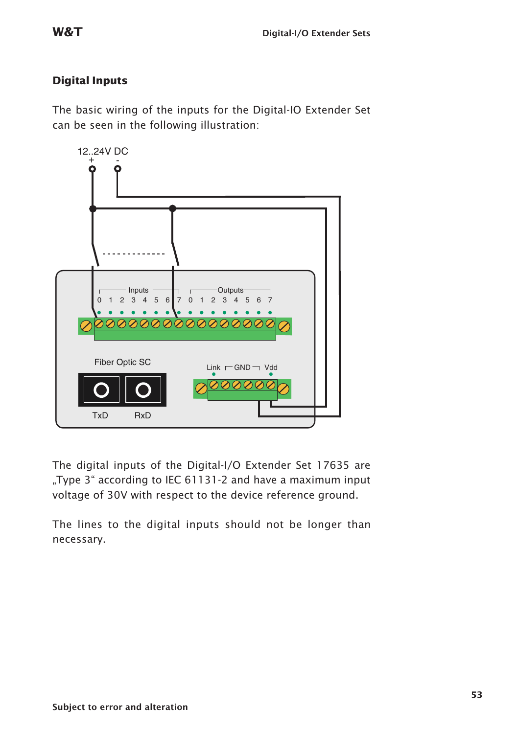#### **Digital Inputs**

The basic wiring of the inputs for the Digital-IO Extender Set can be seen in the following illustration:



The digital inputs of the Digital-I/O Extender Set 17635 are ..Type 3" according to IEC 61131-2 and have a maximum input voltage of 30V with respect to the device reference ground.

The lines to the digital inputs should not be longer than necessary.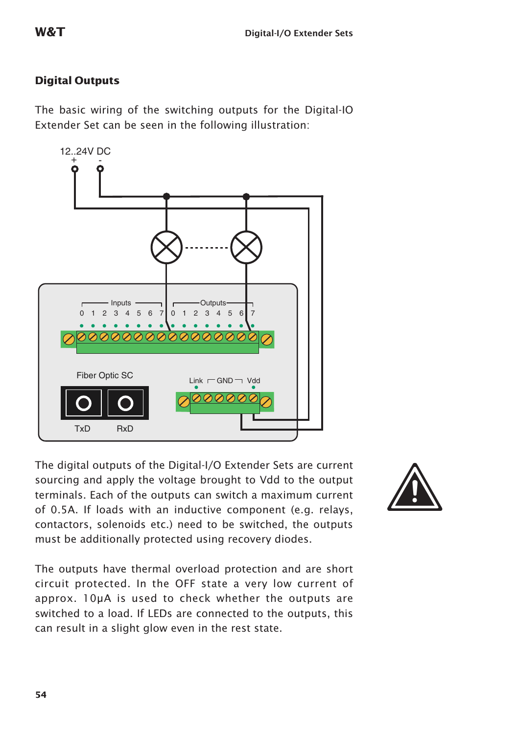#### **Digital Outputs**

The basic wiring of the switching outputs for the Digital-IO Extender Set can be seen in the following illustration:

The digital outputs of the Digital-I/O Extender Sets are current sourcing and apply the voltage brought to Vdd to the output terminals. Each of the outputs can switch a maximum current of 0.5A. If loads with an inductive component (e.g. relays, contactors, solenoids etc.) need to be switched, the outputs must be additionally protected using recovery diodes.

The outputs have thermal overload protection and are short circuit protected. In the OFF state a very low current of approx. 10µA is used to check whether the outputs are switched to a load. If LEDs are connected to the outputs, this can result in a slight glow even in the rest state.



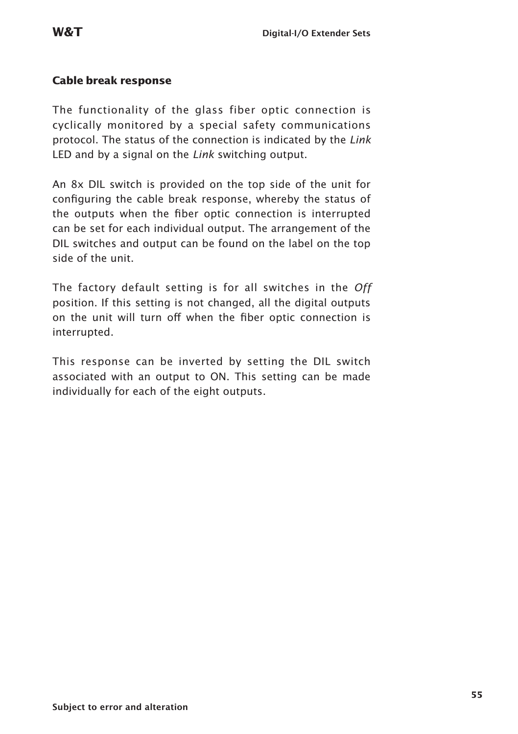#### **Cable break response**

The functionality of the glass fiber optic connection is cyclically monitored by a special safety communications protocol. The status of the connection is indicated by the *Link* LED and by a signal on the *Link* switching output.

An 8x DIL switch is provided on the top side of the unit for configuring the cable break response, whereby the status of the outputs when the fiber optic connection is interrupted can be set for each individual output. The arrangement of the DIL switches and output can be found on the label on the top side of the unit.

The factory default setting is for all switches in the *Off*  position. If this setting is not changed, all the digital outputs on the unit will turn off when the fiber optic connection is interrupted.

This response can be inverted by setting the DIL switch associated with an output to ON. This setting can be made individually for each of the eight outputs.